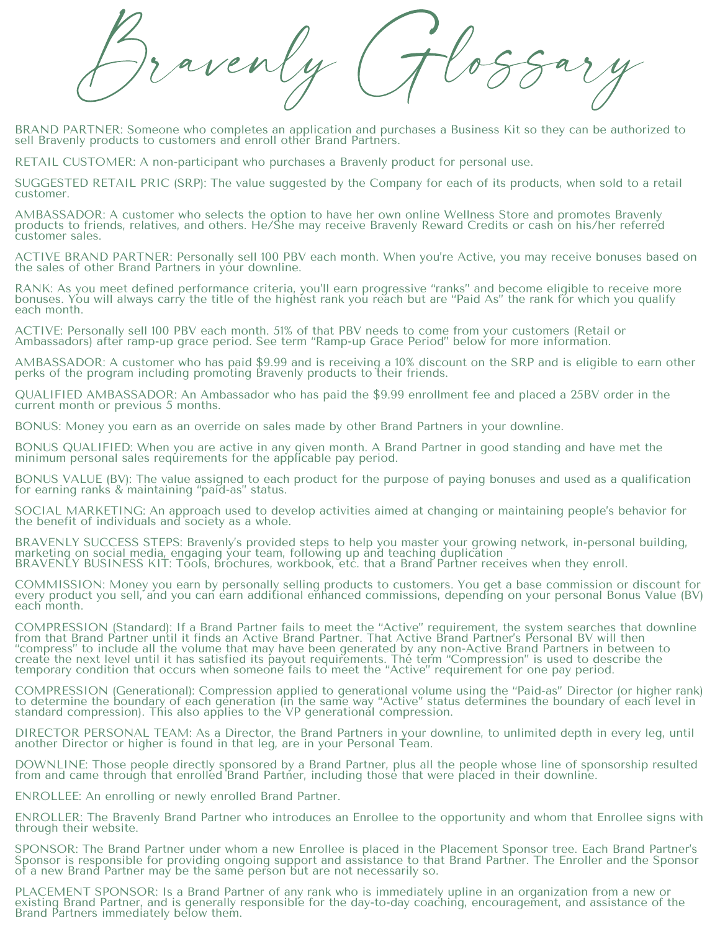Bravenly Glossary

BRAND PARTNER: Someone who completes an application and purchases a Business Kit so they can be authorized to sell Bravenly products to customers and enroll other Brand Partners.

RETAIL CUSTOMER: A non-participant who purchases a Bravenly product for personal use.

SUGGESTED RETAIL PRIC (SRP): The value suggested by the Company for each of its products, when sold to a retail customer.

AMBASSADOR: A customer who selects the option to have her own online Wellness Store and promotes Bravenly products to friends, relatives, and others. He/She may receive Bravenly Reward Credits or cash on his/her referred customer sales.

ACTIVE BRAND PARTNER: Personally sell 100 PBV each month. When you're Active, you may receive bonuses based on the sales of other Brand Partners in your downline.

RANK: As you meet defined performance criteria, you'll earn progressive "ranks" and become eligible to receive more bonuses. You will always carry the title of the highest rank you reach but are "Paid As" the rank for which you qualify each month.

ACTIVE: Personally sell 100 PBV each month. 51% of that PBV needs to come from your customers (Retail or Ambassadors) after ramp-up grace period. See term "Ramp-up Grace Period" below for more information.

AMBASSADOR: A customer who has paid \$9.99 and is receiving a 10% discount on the SRP and is eligible to earn other perks of the program including promoting Bravenly products to their friends.

QUALIFIED AMBASSADOR: An Ambassador who has paid the \$9.99 enrollment fee and placed a 25BV order in the current month or previous 5 months.

BONUS: Money you earn as an override on sales made by other Brand Partners in your downline.

BONUS QUALIFIED: When you are active in any given month. A Brand Partner in good standing and have met the minimum personal sales requirements for the applicable pay period.

BONUS VALUE (BV): The value assigned to each product for the purpose of paying bonuses and used as a qualification for earning ranks & maintaining "paid-as" status.

SOCIAL MARKETING: An approach used to develop activities aimed at changing or maintaining people's behavior for the benefit of individuals and society as a whole.

BRAVENLY SUCCESS STEPS: Bravenly's provided steps to help you master your growing network, in-personal building, marketing on social media, engaging your team, following up and teaching duplication BRAVENLY BUSINESS KIT: Tõols, brochures, workbook, etc. that a Brand Partner receives when they enroll.

COMMISSION: Money you earn by personally selling products to customers. You get a base commission or discount for every product you sell, and you can earn additional enhanced commissions, depending on your personal Bonus Value (BV) each month.

COMPRESSION (Standard): If a Brand Partner fails to meet the "Active" requirement, the system searches that downline from that Brand Partner until it finds an Active Brand Partner. That Active Brand Partner's Personal BV will then "compress" to include all the volume that may have been generated by any non-Active Brand Partners in between to create the next level until it has satisfied its payout requirements. The term "Compression" is used to describe the temporary condition that occurs when someone fails to meet the "Active" requirement for one pay period.

COMPRESSION (Generational): Compression applied to generational volume using the "Paid-as" Director (or higher rank) to determine the boundary of each generation (in the same way "Active" status determines the boundary of each level in standard compression). This also applies to the VP generational compression.

DIRECTOR PERSONAL TEAM: As a Director, the Brand Partners in your downline, to unlimited depth in every leg, until another Director or higher is found in that leg, are in your Personal Team.

DOWNLINE: Those people directly sponsored by a Brand Partner, plus all the people whose line of sponsorship resulted from and came through that enrolled Brand Partner, including those that were placed in their downline.

ENROLLEE: An enrolling or newly enrolled Brand Partner.

ENROLLER: The Bravenly Brand Partner who introduces an Enrollee to the opportunity and whom that Enrollee signs with through their website.

SPONSOR: The Brand Partner under whom a new Enrollee is placed in the Placement Sponsor tree. Each Brand Partner's Sponsor is responsible for providing ongoing support and assistance to that Brand Partner. The Enroller and the Sponsor of a new Brand Partner may be the same person but are not necessarily so.

PLACEMENT SPONSOR: Is a Brand Partner of any rank who is immediately upline in an organization from a new or existing Brand Partner, and is generally responsible for the day-to-day coaching, encouragement, and assistance of the Brand Partners immediately below them.